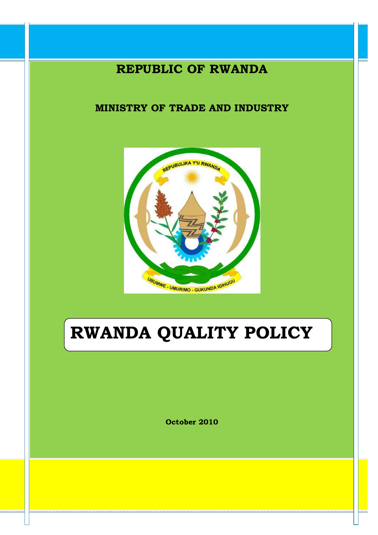# **REPUBLIC OF RWANDA**

# **MINISTRY OF TRADE AND INDUSTRY**



# **RWANDA QUALITY POLICY**

**October 2010**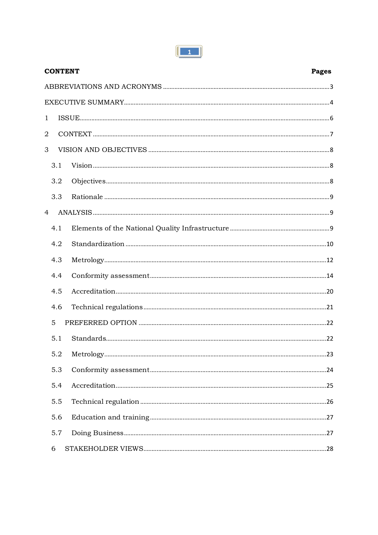| <b>CONTENT</b> |     | Pages |
|----------------|-----|-------|
|                |     |       |
|                |     |       |
| $\mathbf{1}$   |     |       |
| $\overline{2}$ |     |       |
| 3              |     |       |
| 3.1            |     |       |
|                | 3.2 |       |
|                | 3.3 |       |
| $\overline{4}$ |     |       |
| 4.1            |     |       |
| 4.2            |     |       |
| 4.3            |     |       |
| 4.4            |     |       |
| 4.5            |     |       |
| 4.6            |     |       |
| 5              |     |       |
| 5.1            |     |       |
| 5.2            |     |       |
|                | 5.3 |       |
|                | 5.4 |       |
|                | 5.5 |       |
| 5.6            |     |       |
|                | 5.7 |       |
| 6              |     |       |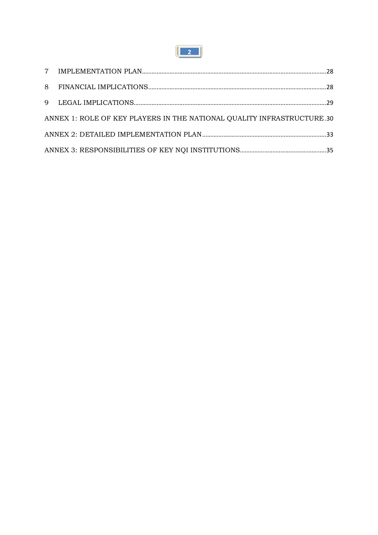

| ANNEX 1: ROLE OF KEY PLAYERS IN THE NATIONAL QUALITY INFRASTRUCTURE.30 |  |
|------------------------------------------------------------------------|--|
|                                                                        |  |
|                                                                        |  |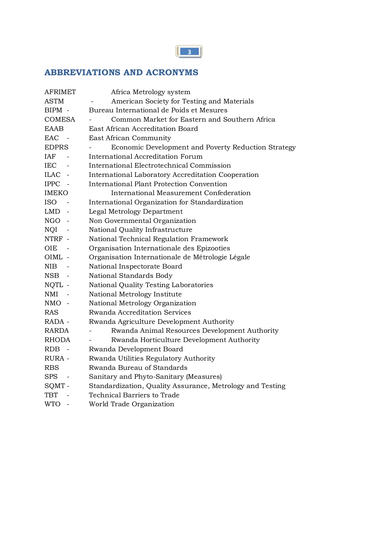# **ABBREVIATIONS AND ACRONYMS**

| <b>AFRIMET</b>       | Africa Metrology system                                   |
|----------------------|-----------------------------------------------------------|
| <b>ASTM</b>          | American Society for Testing and Materials                |
| BIPM -               | Bureau International de Poids et Mesures                  |
| <b>COMESA</b>        | Common Market for Eastern and Southern Africa             |
| <b>EAAB</b>          | East African Accreditation Board                          |
| <b>EAC</b><br>$\sim$ | East African Community                                    |
| <b>EDPRS</b>         | Economic Development and Poverty Reduction Strategy       |
| IAF                  | International Accreditation Forum                         |
| <b>IEC</b>           | International Electrotechnical Commission                 |
| ILAC -               | International Laboratory Accreditation Cooperation        |
| IPPC -               | International Plant Protection Convention                 |
| <b>IMEKO</b>         | International Measurement Confederation                   |
| <b>ISO</b>           | International Organization for Standardization            |
| LMD.                 | Legal Metrology Department                                |
| NGO -                | Non Governmental Organization                             |
| NQI                  | National Quality Infrastructure                           |
| NTRF -               | National Technical Regulation Framework                   |
| OIE                  | Organisation Internationale des Epizooties                |
| OIML -               | Organisation Internationale de Métrologie Légale          |
| NIB                  | National Inspectorate Board                               |
| NSB                  | National Standards Body                                   |
| NQTL -               | National Quality Testing Laboratories                     |
| NMI                  | National Metrology Institute                              |
| NMO -                | National Metrology Organization                           |
| <b>RAS</b>           | Rwanda Accreditation Services                             |
| RADA -               | Rwanda Agriculture Development Authority                  |
| RARDA                | Rwanda Animal Resources Development Authority             |
| <b>RHODA</b>         | Rwanda Horticulture Development Authority                 |
| RDB.<br>$\sim$ $-$   | Rwanda Development Board                                  |
| RURA -               | Rwanda Utilities Regulatory Authority                     |
| <b>RBS</b>           | Rwanda Bureau of Standards                                |
| SPS.                 | Sanitary and Phyto-Sanitary (Measures)                    |
| SQMT-                | Standardization, Quality Assurance, Metrology and Testing |
| TBT                  | Technical Barriers to Trade                               |
| <b>WTO</b>           | World Trade Organization                                  |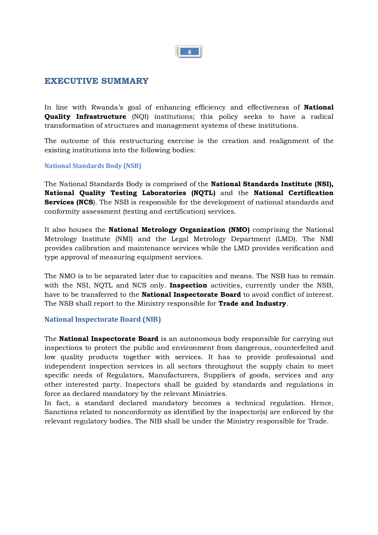

#### **EXECUTIVE SUMMARY**

In line with Rwanda's goal of enhancing efficiency and effectiveness of **National Quality Infrastructure** (NQI) institutions; this policy seeks to have a radical transformation of structures and management systems of these institutions.

The outcome of this restructuring exercise is the creation and realignment of the existing institutions into the following bodies:

#### **National Standards Body (NSB)**

The National Standards Body is comprised of the **National Standards Institute (NSI), National Quality Testing Laboratories (NQTL)** and the **National Certification Services (NCS**). The NSB is responsible for the development of national standards and conformity assessment (testing and certification) services.

It also houses the **National Metrology Organization (NMO)** comprising the National Metrology Institute (NMI) and the Legal Metrology Department (LMD). The NMI provides calibration and maintenance services while the LMD provides verification and type approval of measuring equipment services.

The NMO is to be separated later due to capacities and means. The NSB has to remain with the NSI, NQTL and NCS only. **Inspection** activities, currently under the NSB, have to be transferred to the **National Inspectorate Board** to avoid conflict of interest. The NSB shall report to the Ministry responsible for **Trade and Industry**.

#### **National Inspectorate Board (NIB)**

The **National Inspectorate Board** is an autonomous body responsible for carrying out inspections to protect the public and environment from dangerous, counterfeited and low quality products together with services. It has to provide professional and independent inspection services in all sectors throughout the supply chain to meet specific needs of Regulators, Manufacturers, Suppliers of goods, services and any other interested party. Inspectors shall be guided by standards and regulations in force as declared mandatory by the relevant Ministries.

In fact, a standard declared mandatory becomes a technical regulation. Hence, Sanctions related to nonconformity as identified by the inspector(s) are enforced by the relevant regulatory bodies. The NIB shall be under the Ministry responsible for Trade.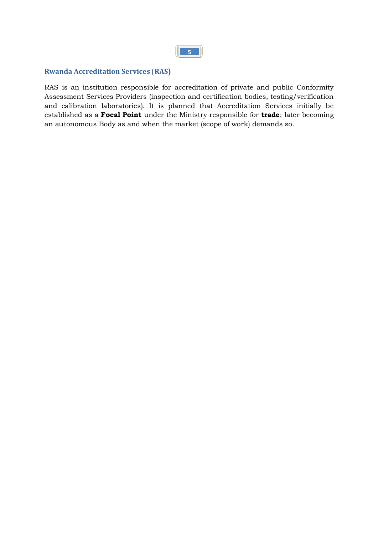

#### **Rwanda Accreditation Services** (**RAS)**

RAS is an institution responsible for accreditation of private and public Conformity Assessment Services Providers (inspection and certification bodies, testing/verification and calibration laboratories). It is planned that Accreditation Services initially be established as a **Focal Point** under the Ministry responsible for **trade**; later becoming an autonomous Body as and when the market (scope of work) demands so.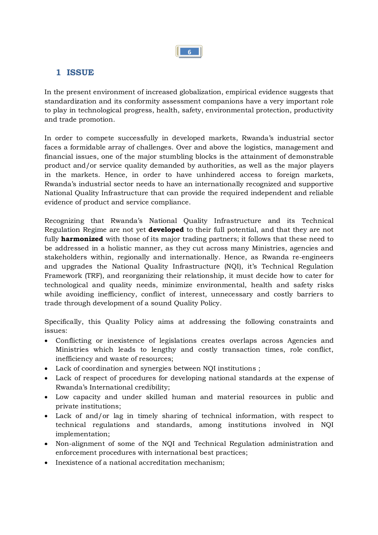

# **1 ISSUE**

In the present environment of increased globalization, empirical evidence suggests that standardization and its conformity assessment companions have a very important role to play in technological progress, health, safety, environmental protection, productivity and trade promotion.

In order to compete successfully in developed markets, Rwanda's industrial sector faces a formidable array of challenges. Over and above the logistics, management and financial issues, one of the major stumbling blocks is the attainment of demonstrable product and/or service quality demanded by authorities, as well as the major players in the markets. Hence, in order to have unhindered access to foreign markets, Rwanda's industrial sector needs to have an internationally recognized and supportive National Quality Infrastructure that can provide the required independent and reliable evidence of product and service compliance.

Recognizing that Rwanda's National Quality Infrastructure and its Technical Regulation Regime are not yet **developed** to their full potential, and that they are not fully **harmonized** with those of its major trading partners; it follows that these need to be addressed in a holistic manner, as they cut across many Ministries, agencies and stakeholders within, regionally and internationally. Hence, as Rwanda re-engineers and upgrades the National Quality Infrastructure (NQI), it's Technical Regulation Framework (TRF), and reorganizing their relationship, it must decide how to cater for technological and quality needs, minimize environmental, health and safety risks while avoiding inefficiency, conflict of interest, unnecessary and costly barriers to trade through development of a sound Quality Policy.

Specifically, this Quality Policy aims at addressing the following constraints and issues:

- · Conflicting or inexistence of legislations creates overlaps across Agencies and Ministries which leads to lengthy and costly transaction times, role conflict, inefficiency and waste of resources;
- · Lack of coordination and synergies between NQI institutions ;
- · Lack of respect of procedures for developing national standards at the expense of Rwanda's International credibility;
- · Low capacity and under skilled human and material resources in public and private institutions;
- · Lack of and/or lag in timely sharing of technical information, with respect to technical regulations and standards, among institutions involved in NQI implementation;
- · Non-alignment of some of the NQI and Technical Regulation administration and enforcement procedures with international best practices;
- · Inexistence of a national accreditation mechanism;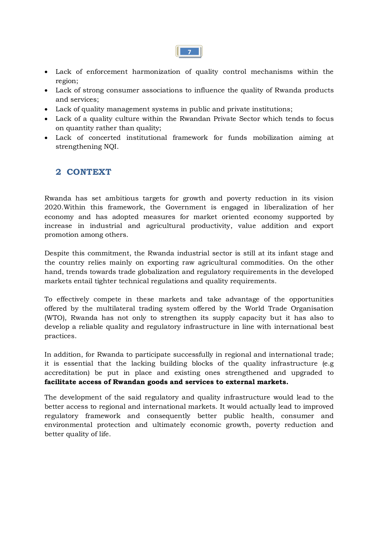

- · Lack of enforcement harmonization of quality control mechanisms within the region;
- · Lack of strong consumer associations to influence the quality of Rwanda products and services;
- · Lack of quality management systems in public and private institutions;
- · Lack of a quality culture within the Rwandan Private Sector which tends to focus on quantity rather than quality;
- · Lack of concerted institutional framework for funds mobilization aiming at strengthening NQI.

# **2 CONTEXT**

Rwanda has set ambitious targets for growth and poverty reduction in its vision 2020.Within this framework, the Government is engaged in liberalization of her economy and has adopted measures for market oriented economy supported by increase in industrial and agricultural productivity, value addition and export promotion among others.

Despite this commitment, the Rwanda industrial sector is still at its infant stage and the country relies mainly on exporting raw agricultural commodities. On the other hand, trends towards trade globalization and regulatory requirements in the developed markets entail tighter technical regulations and quality requirements.

To effectively compete in these markets and take advantage of the opportunities offered by the multilateral trading system offered by the World Trade Organisation (WTO), Rwanda has not only to strengthen its supply capacity but it has also to develop a reliable quality and regulatory infrastructure in line with international best practices.

In addition, for Rwanda to participate successfully in regional and international trade; it is essential that the lacking building blocks of the quality infrastructure (e.g accreditation) be put in place and existing ones strengthened and upgraded to **facilitate access of Rwandan goods and services to external markets.**

The development of the said regulatory and quality infrastructure would lead to the better access to regional and international markets. It would actually lead to improved regulatory framework and consequently better public health, consumer and environmental protection and ultimately economic growth, poverty reduction and better quality of life.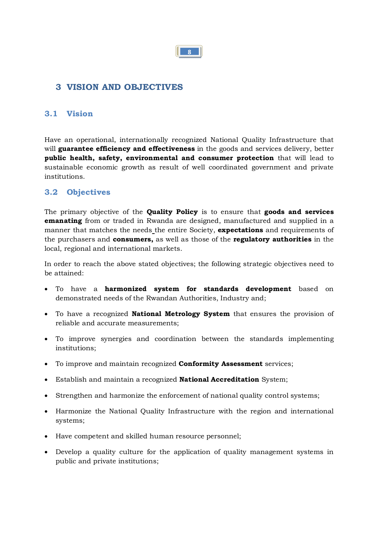

# **3 VISION AND OBJECTIVES**

### **3.1 Vision**

Have an operational, internationally recognized National Quality Infrastructure that will **guarantee efficiency and effectiveness** in the goods and services delivery, better **public health, safety, environmental and consumer protection** that will lead to sustainable economic growth as result of well coordinated government and private institutions.

### **3.2 Objectives**

The primary objective of the **Quality Policy** is to ensure that **goods and services emanating** from or traded in Rwanda are designed, manufactured and supplied in a manner that matches the needs the entire Society, **expectations** and requirements of the purchasers and **consumers,** as well as those of the **regulatory authorities** in the local, regional and international markets.

In order to reach the above stated objectives; the following strategic objectives need to be attained:

- · To have a **harmonized system for standards development** based on demonstrated needs of the Rwandan Authorities, Industry and;
- · To have a recognized **National Metrology System** that ensures the provision of reliable and accurate measurements;
- · To improve synergies and coordination between the standards implementing institutions;
- · To improve and maintain recognized **Conformity Assessment** services;
- · Establish and maintain a recognized **National Accreditation** System;
- · Strengthen and harmonize the enforcement of national quality control systems;
- · Harmonize the National Quality Infrastructure with the region and international systems;
- · Have competent and skilled human resource personnel;
- · Develop a quality culture for the application of quality management systems in public and private institutions;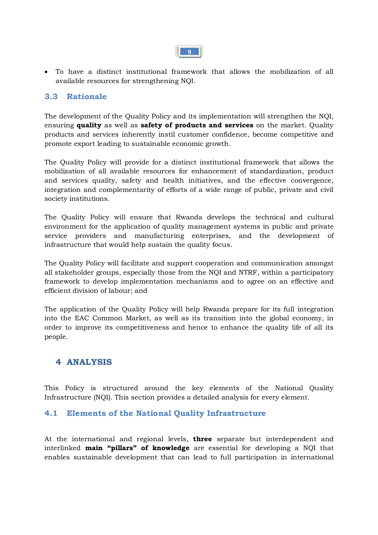

· To have a distinct institutional framework that allows the mobilization of all available resources for strengthening NQI.

#### **3.3 Rationale**

The development of the Quality Policy and its implementation will strengthen the NQI, ensuring **quality** as well as **safety of products and services** on the market. Quality products and services inherently instil customer confidence, become competitive and promote export leading to sustainable economic growth.

The Quality Policy will provide for a distinct institutional framework that allows the mobilization of all available resources for enhancement of standardization, product and services quality, safety and health initiatives, and the effective convergence, integration and complementarity of efforts of a wide range of public, private and civil society institutions.

The Quality Policy will ensure that Rwanda develops the technical and cultural environment for the application of quality management systems in public and private service providers and manufacturing enterprises, and the development of infrastructure that would help sustain the quality focus.

The Quality Policy will facilitate and support cooperation and communication amongst all stakeholder groups, especially those from the NQI and NTRF, within a participatory framework to develop implementation mechanisms and to agree on an effective and efficient division of labour; and

The application of the Quality Policy will help Rwanda prepare for its full integration into the EAC Common Market, as well as its transition into the global economy, in order to improve its competitiveness and hence to enhance the quality life of all its people.

# **4 ANALYSIS**

This Policy is structured around the key elements of the National Quality Infrastructure (NQI). This section provides a detailed analysis for every element.

#### **4.1 Elements of the National Quality Infrastructure**

At the international and regional levels, **three** separate but interdependent and interlinked **main "pillars" of knowledge** are essential for developing a NQI that enables sustainable development that can lead to full participation in international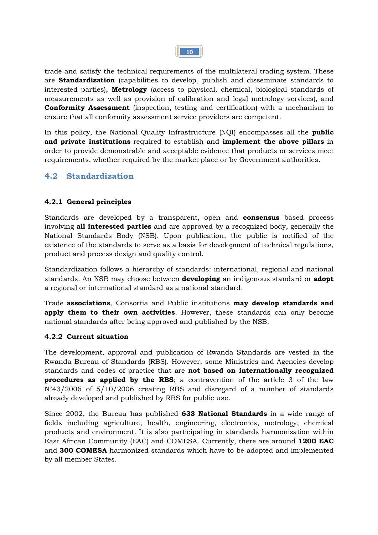

trade and satisfy the technical requirements of the multilateral trading system. These are **Standardization** (capabilities to develop, publish and disseminate standards to interested parties), **Metrology** (access to physical, chemical, biological standards of measurements as well as provision of calibration and legal metrology services), and **Conformity Assessment** (inspection, testing and certification) with a mechanism to ensure that all conformity assessment service providers are competent.

In this policy, the National Quality Infrastructure (NQI) encompasses all the **public and private institutions** required to establish and **implement the above pillars** in order to provide demonstrable and acceptable evidence that products or services meet requirements, whether required by the market place or by Government authorities.

#### **4.2 Standardization**

#### **4.2.1 General principles**

Standards are developed by a transparent, open and **consensus** based process involving **all interested parties** and are approved by a recognized body, generally the National Standards Body (NSB). Upon publication, the public is notified of the existence of the standards to serve as a basis for development of technical regulations, product and process design and quality control.

Standardization follows a hierarchy of standards: international, regional and national standards. An NSB may choose between **developing** an indigenous standard or **adopt**  a regional or international standard as a national standard.

Trade **associations**, Consortia and Public institutions **may develop standards and apply them to their own activities**. However, these standards can only become national standards after being approved and published by the NSB.

#### **4.2.2 Current situation**

The development, approval and publication of Rwanda Standards are vested in the Rwanda Bureau of Standards (RBS). However, some Ministries and Agencies develop standards and codes of practice that are **not based on internationally recognized procedures as applied by the RBS**; a contravention of the article 3 of the law N°43/2006 of 5/10/2006 creating RBS and disregard of a number of standards already developed and published by RBS for public use.

Since 2002, the Bureau has published **633 National Standards** in a wide range of fields including agriculture, health, engineering, electronics, metrology, chemical products and environment. It is also participating in standards harmonization within East African Community (EAC) and COMESA. Currently, there are around **1200 EAC** and **300 COMESA** harmonized standards which have to be adopted and implemented by all member States.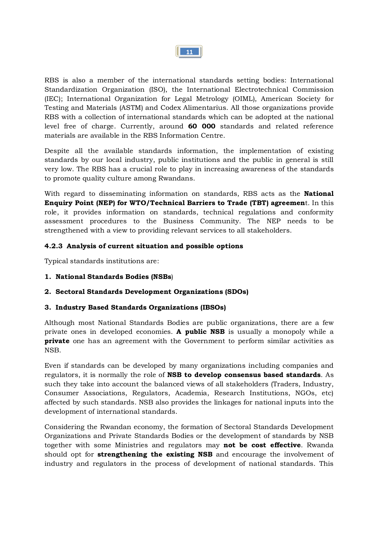

RBS is also a member of the international standards setting bodies: International Standardization Organization (ISO), the International Electrotechnical Commission (IEC); International Organization for Legal Metrology (OIML), American Society for Testing and Materials (ASTM) and Codex Alimentarius. All those organizations provide RBS with a collection of international standards which can be adopted at the national level free of charge. Currently, around **60 000** standards and related reference materials are available in the RBS Information Centre.

Despite all the available standards information, the implementation of existing standards by our local industry, public institutions and the public in general is still very low. The RBS has a crucial role to play in increasing awareness of the standards to promote quality culture among Rwandans.

With regard to disseminating information on standards, RBS acts as the **National Enquiry Point (NEP) for WTO/Technical Barriers to Trade (TBT) agreemen**t. In this role, it provides information on standards, technical regulations and conformity assessment procedures to the Business Community. The NEP needs to be strengthened with a view to providing relevant services to all stakeholders.

#### **4.2.3 Analysis of current situation and possible options**

Typical standards institutions are:

- **1. National Standards Bodies (NSBs**)
- **2. Sectoral Standards Development Organizations (SDOs)**

#### **3. Industry Based Standards Organizations (IBSOs)**

Although most National Standards Bodies are public organizations, there are a few private ones in developed economies. **A public NSB** is usually a monopoly while a **private** one has an agreement with the Government to perform similar activities as NSB.

Even if standards can be developed by many organizations including companies and regulators, it is normally the role of **NSB to develop consensus based standards**. As such they take into account the balanced views of all stakeholders (Traders, Industry, Consumer Associations, Regulators, Academia, Research Institutions, NGOs, etc) affected by such standards. NSB also provides the linkages for national inputs into the development of international standards.

Considering the Rwandan economy, the formation of Sectoral Standards Development Organizations and Private Standards Bodies or the development of standards by NSB together with some Ministries and regulators may **not be cost effective**. Rwanda should opt for **strengthening the existing NSB** and encourage the involvement of industry and regulators in the process of development of national standards. This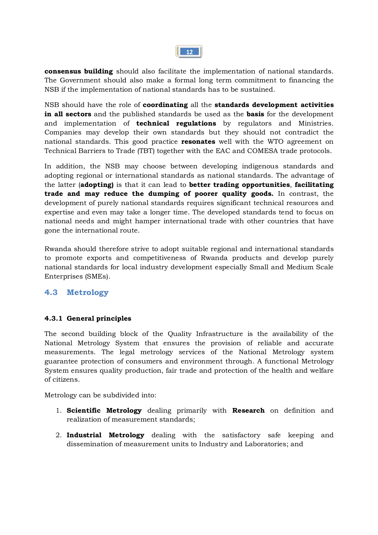|--|

**consensus building** should also facilitate the implementation of national standards. The Government should also make a formal long term commitment to financing the NSB if the implementation of national standards has to be sustained.

NSB should have the role of **coordinating** all the **standards development activities in all sectors** and the published standards be used as the **basis** for the development and implementation of **technical regulations** by regulators and Ministries. Companies may develop their own standards but they should not contradict the national standards. This good practice **resonates** well with the WTO agreement on Technical Barriers to Trade (TBT) together with the EAC and COMESA trade protocols.

In addition, the NSB may choose between developing indigenous standards and adopting regional or international standards as national standards. The advantage of the latter (**adopting)** is that it can lead to **better trading opportunities**, **facilitating trade and may reduce the dumping of poorer quality goods.** In contrast, the development of purely national standards requires significant technical resources and expertise and even may take a longer time. The developed standards tend to focus on national needs and might hamper international trade with other countries that have gone the international route.

Rwanda should therefore strive to adopt suitable regional and international standards to promote exports and competitiveness of Rwanda products and develop purely national standards for local industry development especially Small and Medium Scale Enterprises (SMEs).

### **4.3 Metrology**

#### **4.3.1 General principles**

The second building block of the Quality Infrastructure is the availability of the National Metrology System that ensures the provision of reliable and accurate measurements. The legal metrology services of the National Metrology system guarantee protection of consumers and environment through. A functional Metrology System ensures quality production, fair trade and protection of the health and welfare of citizens.

Metrology can be subdivided into:

- 1. **Scientific Metrology** dealing primarily with **Research** on definition and realization of measurement standards;
- 2. **Industrial Metrology** dealing with the satisfactory safe keeping and dissemination of measurement units to Industry and Laboratories; and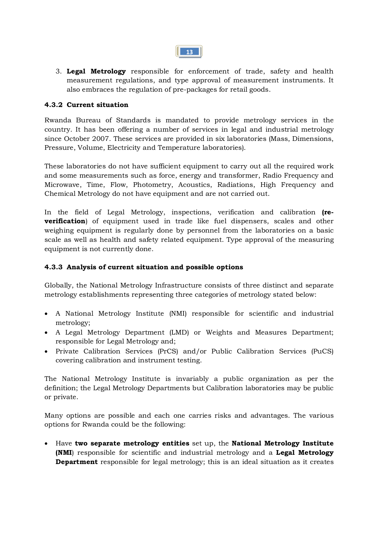3. **Legal Metrology** responsible for enforcement of trade, safety and health measurement regulations, and type approval of measurement instruments. It also embraces the regulation of pre-packages for retail goods.

#### **4.3.2 Current situation**

Rwanda Bureau of Standards is mandated to provide metrology services in the country. It has been offering a number of services in legal and industrial metrology since October 2007. These services are provided in six laboratories (Mass, Dimensions, Pressure, Volume, Electricity and Temperature laboratories).

These laboratories do not have sufficient equipment to carry out all the required work and some measurements such as force, energy and transformer, Radio Frequency and Microwave, Time, Flow, Photometry, Acoustics, Radiations, High Frequency and Chemical Metrology do not have equipment and are not carried out.

In the field of Legal Metrology, inspections, verification and calibration **(reverification**) of equipment used in trade like fuel dispensers, scales and other weighing equipment is regularly done by personnel from the laboratories on a basic scale as well as health and safety related equipment. Type approval of the measuring equipment is not currently done.

#### **4.3.3 Analysis of current situation and possible options**

Globally, the National Metrology Infrastructure consists of three distinct and separate metrology establishments representing three categories of metrology stated below:

- · A National Metrology Institute (NMI) responsible for scientific and industrial metrology;
- · A Legal Metrology Department (LMD) or Weights and Measures Department; responsible for Legal Metrology and;
- · Private Calibration Services (PrCS) and/or Public Calibration Services (PuCS) covering calibration and instrument testing.

The National Metrology Institute is invariably a public organization as per the definition; the Legal Metrology Departments but Calibration laboratories may be public or private.

Many options are possible and each one carries risks and advantages. The various options for Rwanda could be the following:

· Have **two separate metrology entities** set up, the **National Metrology Institute (NMI**) responsible for scientific and industrial metrology and a **Legal Metrology Department** responsible for legal metrology; this is an ideal situation as it creates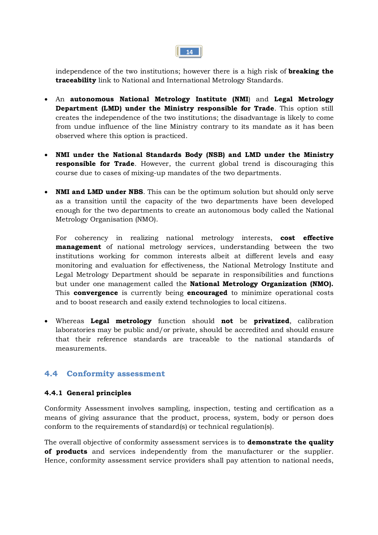independence of the two institutions; however there is a high risk of **breaking the traceability** link to National and International Metrology Standards.

- · An **autonomous National Metrology Institute (NMI**) and **Legal Metrology Department (LMD) under the Ministry responsible for Trade**. This option still creates the independence of the two institutions; the disadvantage is likely to come from undue influence of the line Ministry contrary to its mandate as it has been observed where this option is practiced.
- · **NMI under the National Standards Body (NSB) and LMD under the Ministry responsible for Trade**. However, the current global trend is discouraging this course due to cases of mixing-up mandates of the two departments.
- · **NMI and LMD under NBS**. This can be the optimum solution but should only serve as a transition until the capacity of the two departments have been developed enough for the two departments to create an autonomous body called the National Metrology Organisation (NMO).

For coherency in realizing national metrology interests, **cost effective management** of national metrology services, understanding between the two institutions working for common interests albeit at different levels and easy monitoring and evaluation for effectiveness, the National Metrology Institute and Legal Metrology Department should be separate in responsibilities and functions but under one management called the **National Metrology Organization (NMO).** This **convergence** is currently being **encouraged** to minimize operational costs and to boost research and easily extend technologies to local citizens.

· Whereas **Legal metrology** function should **not** be **privatized**, calibration laboratories may be public and/or private, should be accredited and should ensure that their reference standards are traceable to the national standards of measurements.

#### **4.4 Conformity assessment**

#### **4.4.1 General principles**

Conformity Assessment involves sampling, inspection, testing and certification as a means of giving assurance that the product, process, system, body or person does conform to the requirements of standard(s) or technical regulation(s).

The overall objective of conformity assessment services is to **demonstrate the quality of products** and services independently from the manufacturer or the supplier. Hence, conformity assessment service providers shall pay attention to national needs,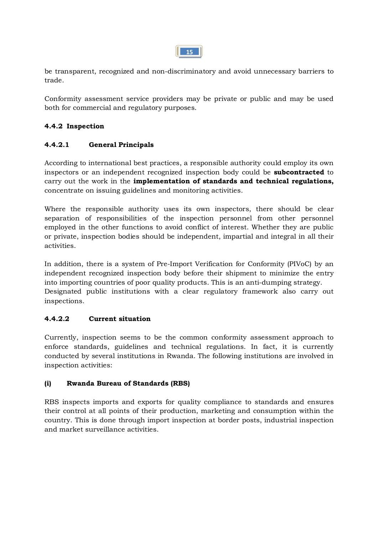

be transparent, recognized and non-discriminatory and avoid unnecessary barriers to trade.

Conformity assessment service providers may be private or public and may be used both for commercial and regulatory purposes.

#### **4.4.2 Inspection**

#### **4.4.2.1 General Principals**

According to international best practices, a responsible authority could employ its own inspectors or an independent recognized inspection body could be **subcontracted** to carry out the work in the **implementation of standards and technical regulations,** concentrate on issuing guidelines and monitoring activities.

Where the responsible authority uses its own inspectors, there should be clear separation of responsibilities of the inspection personnel from other personnel employed in the other functions to avoid conflict of interest. Whether they are public or private, inspection bodies should be independent, impartial and integral in all their activities.

In addition, there is a system of Pre-Import Verification for Conformity (PIVoC) by an independent recognized inspection body before their shipment to minimize the entry into importing countries of poor quality products. This is an anti-dumping strategy. Designated public institutions with a clear regulatory framework also carry out inspections.

#### **4.4.2.2 Current situation**

Currently, inspection seems to be the common conformity assessment approach to enforce standards, guidelines and technical regulations. In fact, it is currently conducted by several institutions in Rwanda. The following institutions are involved in inspection activities:

#### **(i) Rwanda Bureau of Standards (RBS)**

RBS inspects imports and exports for quality compliance to standards and ensures their control at all points of their production, marketing and consumption within the country. This is done through import inspection at border posts, industrial inspection and market surveillance activities.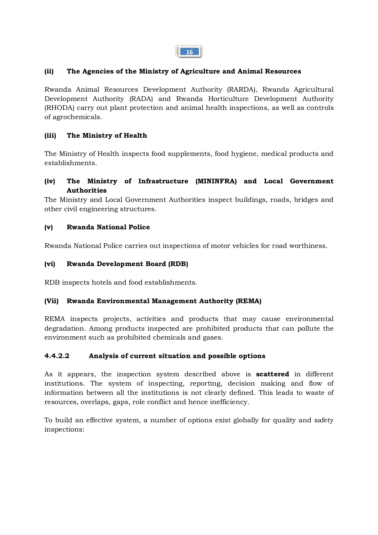

#### **(ii) The Agencies of the Ministry of Agriculture and Animal Resources**

Rwanda Animal Resources Development Authority (RARDA), Rwanda Agricultural Development Authority (RADA) and Rwanda Horticulture Development Authority (RHODA) carry out plant protection and animal health inspections, as well as controls of agrochemicals.

#### **(iii) The Ministry of Health**

The Ministry of Health inspects food supplements, food hygiene, medical products and establishments.

#### **(iv) The Ministry of Infrastructure (MININFRA) and Local Government Authorities**

The Ministry and Local Government Authorities inspect buildings, roads, bridges and other civil engineering structures.

#### **(v) Rwanda National Police**

Rwanda National Police carries out inspections of motor vehicles for road worthiness.

#### **(vi) Rwanda Development Board (RDB)**

RDB inspects hotels and food establishments.

#### **(Vii) Rwanda Environmental Management Authority (REMA)**

REMA inspects projects, activities and products that may cause environmental degradation. Among products inspected are prohibited products that can pollute the environment such as prohibited chemicals and gases.

#### **4.4.2.2 Analysis of current situation and possible options**

As it appears, the inspection system described above is **scattered** in different institutions. The system of inspecting, reporting, decision making and flow of information between all the institutions is not clearly defined. This leads to waste of resources, overlaps, gaps, role conflict and hence inefficiency.

To build an effective system, a number of options exist globally for quality and safety inspections: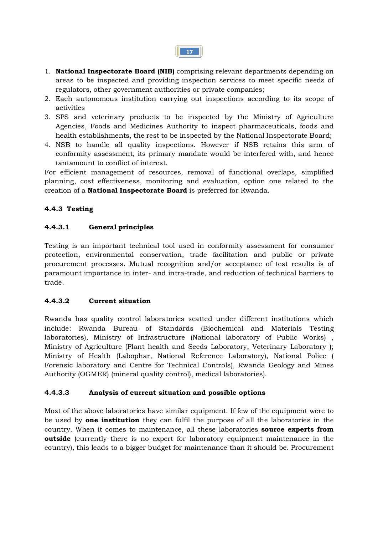- 1. **National Inspectorate Board (NIB)** comprising relevant departments depending on areas to be inspected and providing inspection services to meet specific needs of regulators, other government authorities or private companies;
- 2. Each autonomous institution carrying out inspections according to its scope of activities
- 3. SPS and veterinary products to be inspected by the Ministry of Agriculture Agencies, Foods and Medicines Authority to inspect pharmaceuticals, foods and health establishments, the rest to be inspected by the National Inspectorate Board;
- 4. NSB to handle all quality inspections. However if NSB retains this arm of conformity assessment, its primary mandate would be interfered with, and hence tantamount to conflict of interest.

For efficient management of resources, removal of functional overlaps, simplified planning, cost effectiveness, monitoring and evaluation, option one related to the creation of a **National Inspectorate Board** is preferred for Rwanda.

#### **4.4.3 Testing**

#### **4.4.3.1 General principles**

Testing is an important technical tool used in conformity assessment for consumer protection, environmental conservation, trade facilitation and public or private procurement processes. Mutual recognition and/or acceptance of test results is of paramount importance in inter- and intra-trade, and reduction of technical barriers to trade.

#### **4.4.3.2 Current situation**

Rwanda has quality control laboratories scatted under different institutions which include: Rwanda Bureau of Standards (Biochemical and Materials Testing laboratories), Ministry of Infrastructure (National laboratory of Public Works) , Ministry of Agriculture (Plant health and Seeds Laboratory, Veterinary Laboratory ); Ministry of Health (Labophar, National Reference Laboratory), National Police ( Forensic laboratory and Centre for Technical Controls), Rwanda Geology and Mines Authority (OGMER) (mineral quality control), medical laboratories).

#### **4.4.3.3 Analysis of current situation and possible options**

Most of the above laboratories have similar equipment. If few of the equipment were to be used by **one institution** they can fulfil the purpose of all the laboratories in the country. When it comes to maintenance, all these laboratories **source experts from outside** (currently there is no expert for laboratory equipment maintenance in the country), this leads to a bigger budget for maintenance than it should be. Procurement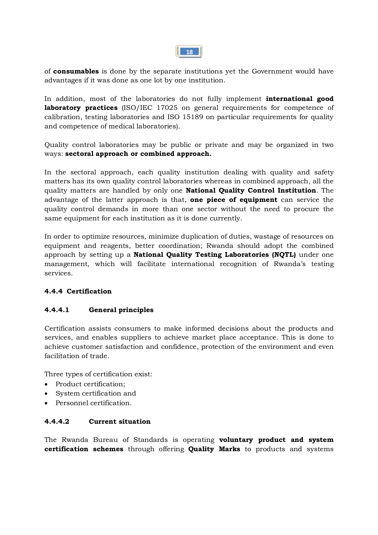

of **consumables** is done by the separate institutions yet the Government would have advantages if it was done as one lot by one institution.

In addition, most of the laboratories do not fully implement **international good laboratory practices** (ISO/IEC 17025 on general requirements for competence of calibration, testing laboratories and ISO 15189 on particular requirements for quality and competence of medical laboratories).

Quality control laboratories may be public or private and may be organized in two ways: **sectoral approach or combined approach.** 

In the sectoral approach, each quality institution dealing with quality and safety matters has its own quality control laboratories whereas in combined approach, all the quality matters are handled by only one **National Quality Control Institution**. The advantage of the latter approach is that, **one piece of equipment** can service the quality control demands in more than one sector without the need to procure the same equipment for each institution as it is done currently.

In order to optimize resources, minimize duplication of duties, wastage of resources on equipment and reagents, better coordination; Rwanda should adopt the combined approach by setting up a **National Quality Testing Laboratories (NQTL)** under one management, which will facilitate international recognition of Rwanda's testing services.

#### **4.4.4 Certification**

#### **4.4.4.1 General principles**

Certification assists consumers to make informed decisions about the products and services, and enables suppliers to achieve market place acceptance. This is done to achieve customer satisfaction and confidence, protection of the environment and even facilitation of trade.

Three types of certification exist:

- Product certification:
- · System certification and
- · Personnel certification.

#### **4.4.4.2 Current situation**

The Rwanda Bureau of Standards is operating **voluntary product and system certification schemes** through offering **Quality Marks** to products and systems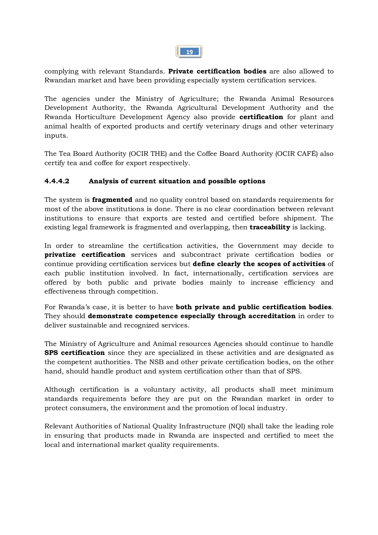complying with relevant Standards. **Private certification bodies** are also allowed to Rwandan market and have been providing especially system certification services.

The agencies under the Ministry of Agriculture; the Rwanda Animal Resources Development Authority, the Rwanda Agricultural Development Authority and the Rwanda Horticulture Development Agency also provide **certification** for plant and animal health of exported products and certify veterinary drugs and other veterinary inputs.

The Tea Board Authority (OCIR THE) and the Coffee Board Authority (OCIR CAFÉ) also certify tea and coffee for export respectively.

#### **4.4.4.2 Analysis of current situation and possible options**

The system is **fragmented** and no quality control based on standards requirements for most of the above institutions is done. There is no clear coordination between relevant institutions to ensure that exports are tested and certified before shipment. The existing legal framework is fragmented and overlapping, then **traceability** is lacking.

In order to streamline the certification activities, the Government may decide to **privatize certification** services and subcontract private certification bodies or continue providing certification services but **define clearly the scopes of activities** of each public institution involved. In fact, internationally, certification services are offered by both public and private bodies mainly to increase efficiency and effectiveness through competition.

For Rwanda's case, it is better to have **both private and public certification bodies**. They should **demonstrate competence especially through accreditation** in order to deliver sustainable and recognized services.

The Ministry of Agriculture and Animal resources Agencies should continue to handle **SPS certification** since they are specialized in these activities and are designated as the competent authorities. The NSB and other private certification bodies, on the other hand, should handle product and system certification other than that of SPS.

Although certification is a voluntary activity, all products shall meet minimum standards requirements before they are put on the Rwandan market in order to protect consumers, the environment and the promotion of local industry.

Relevant Authorities of National Quality Infrastructure (NQI) shall take the leading role in ensuring that products made in Rwanda are inspected and certified to meet the local and international market quality requirements.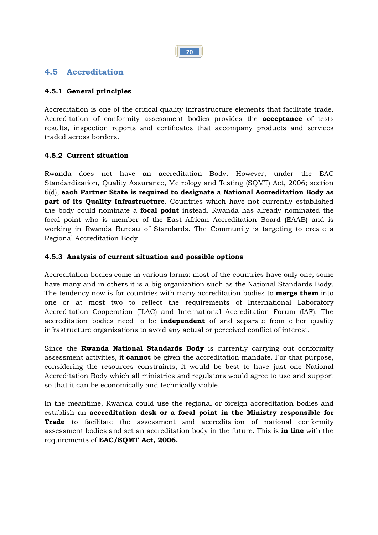

#### **4.5 Accreditation**

#### **4.5.1 General principles**

Accreditation is one of the critical quality infrastructure elements that facilitate trade. Accreditation of conformity assessment bodies provides the **acceptance** of tests results, inspection reports and certificates that accompany products and services traded across borders.

#### **4.5.2 Current situation**

Rwanda does not have an accreditation Body. However, under the EAC Standardization, Quality Assurance, Metrology and Testing (SQMT) Act, 2006; section 6(d), **each Partner State is required to designate a National Accreditation Body as part of its Quality Infrastructure**. Countries which have not currently established the body could nominate a **focal point** instead. Rwanda has already nominated the focal point who is member of the East African Accreditation Board (EAAB) and is working in Rwanda Bureau of Standards. The Community is targeting to create a Regional Accreditation Body.

#### **4.5.3 Analysis of current situation and possible options**

Accreditation bodies come in various forms: most of the countries have only one, some have many and in others it is a big organization such as the National Standards Body. The tendency now is for countries with many accreditation bodies to **merge them** into one or at most two to reflect the requirements of International Laboratory Accreditation Cooperation (ILAC) and International Accreditation Forum (IAF). The accreditation bodies need to be **independent** of and separate from other quality infrastructure organizations to avoid any actual or perceived conflict of interest.

Since the **Rwanda National Standards Body** is currently carrying out conformity assessment activities, it **cannot** be given the accreditation mandate. For that purpose, considering the resources constraints, it would be best to have just one National Accreditation Body which all ministries and regulators would agree to use and support so that it can be economically and technically viable.

In the meantime, Rwanda could use the regional or foreign accreditation bodies and establish an **accreditation desk or a focal point in the Ministry responsible for Trade** to facilitate the assessment and accreditation of national conformity assessment bodies and set an accreditation body in the future. This is **in line** with the requirements of **EAC/SQMT Act, 2006.**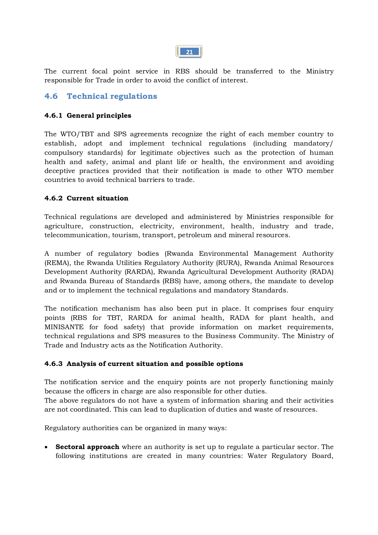The current focal point service in RBS should be transferred to the Ministry responsible for Trade in order to avoid the conflict of interest.

### **4.6 Technical regulations**

#### **4.6.1 General principles**

The WTO/TBT and SPS agreements recognize the right of each member country to establish, adopt and implement technical regulations (including mandatory/ compulsory standards) for legitimate objectives such as the protection of human health and safety, animal and plant life or health, the environment and avoiding deceptive practices provided that their notification is made to other WTO member countries to avoid technical barriers to trade.

#### **4.6.2 Current situation**

Technical regulations are developed and administered by Ministries responsible for agriculture, construction, electricity, environment, health, industry and trade, telecommunication, tourism, transport, petroleum and mineral resources.

A number of regulatory bodies (Rwanda Environmental Management Authority (REMA), the Rwanda Utilities Regulatory Authority (RURA), Rwanda Animal Resources Development Authority (RARDA), Rwanda Agricultural Development Authority (RADA) and Rwanda Bureau of Standards (RBS) have, among others, the mandate to develop and or to implement the technical regulations and mandatory Standards.

The notification mechanism has also been put in place. It comprises four enquiry points (RBS for TBT, RARDA for animal health, RADA for plant health, and MINISANTE for food safety) that provide information on market requirements, technical regulations and SPS measures to the Business Community. The Ministry of Trade and Industry acts as the Notification Authority.

#### **4.6.3 Analysis of current situation and possible options**

The notification service and the enquiry points are not properly functioning mainly because the officers in charge are also responsible for other duties. The above regulators do not have a system of information sharing and their activities are not coordinated. This can lead to duplication of duties and waste of resources.

Regulatory authorities can be organized in many ways:

· **Sectoral approach** where an authority is set up to regulate a particular sector. The following institutions are created in many countries: Water Regulatory Board,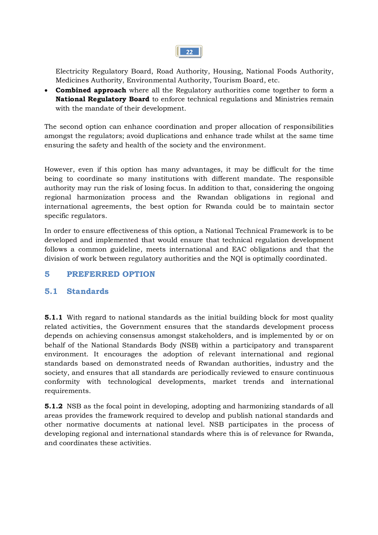

Electricity Regulatory Board, Road Authority, Housing, National Foods Authority, Medicines Authority, Environmental Authority, Tourism Board, etc.

· **Combined approach** where all the Regulatory authorities come together to form a **National Regulatory Board** to enforce technical regulations and Ministries remain with the mandate of their development.

The second option can enhance coordination and proper allocation of responsibilities amongst the regulators; avoid duplications and enhance trade whilst at the same time ensuring the safety and health of the society and the environment.

However, even if this option has many advantages, it may be difficult for the time being to coordinate so many institutions with different mandate. The responsible authority may run the risk of losing focus. In addition to that, considering the ongoing regional harmonization process and the Rwandan obligations in regional and international agreements, the best option for Rwanda could be to maintain sector specific regulators.

In order to ensure effectiveness of this option, a National Technical Framework is to be developed and implemented that would ensure that technical regulation development follows a common guideline, meets international and EAC obligations and that the division of work between regulatory authorities and the NQI is optimally coordinated.

### **5 PREFERRED OPTION**

#### **5.1 Standards**

**5.1.1** With regard to national standards as the initial building block for most quality related activities, the Government ensures that the standards development process depends on achieving consensus amongst stakeholders, and is implemented by or on behalf of the National Standards Body (NSB) within a participatory and transparent environment. It encourages the adoption of relevant international and regional standards based on demonstrated needs of Rwandan authorities, industry and the society, and ensures that all standards are periodically reviewed to ensure continuous conformity with technological developments, market trends and international requirements.

**5.1.2** NSB as the focal point in developing, adopting and harmonizing standards of all areas provides the framework required to develop and publish national standards and other normative documents at national level. NSB participates in the process of developing regional and international standards where this is of relevance for Rwanda, and coordinates these activities.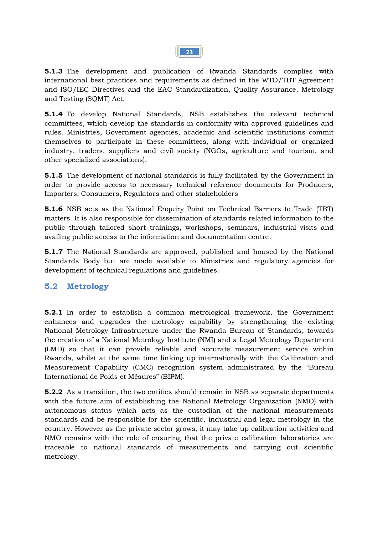

**5.1.3** The development and publication of Rwanda Standards complies with international best practices and requirements as defined in the WTO/TBT Agreement and ISO/IEC Directives and the EAC Standardization, Quality Assurance, Metrology and Testing (SQMT) Act.

**5.1.4** To develop National Standards, NSB establishes the relevant technical committees, which develop the standards in conformity with approved guidelines and rules. Ministries, Government agencies, academic and scientific institutions commit themselves to participate in these committees, along with individual or organized industry, traders, suppliers and civil society (NGOs, agriculture and tourism, and other specialized associations).

**5.1.5** The development of national standards is fully facilitated by the Government in order to provide access to necessary technical reference documents for Producers, Importers, Consumers, Regulators and other stakeholders

**5.1.6** NSB acts as the National Enquiry Point on Technical Barriers to Trade (TBT) matters. It is also responsible for dissemination of standards related information to the public through tailored short trainings, workshops, seminars, industrial visits and availing public access to the information and documentation centre.

**5.1.7** The National Standards are approved, published and housed by the National Standards Body but are made available to Ministries and regulatory agencies for development of technical regulations and guidelines.

### **5.2 Metrology**

**5.2.1** In order to establish a common metrological framework, the Government enhances and upgrades the metrology capability by strengthening the existing National Metrology Infrastructure under the Rwanda Bureau of Standards, towards the creation of a National Metrology Institute (NMI) and a Legal Metrology Department (LMD) so that it can provide reliable and accurate measurement service within Rwanda, whilst at the same time linking up internationally with the Calibration and Measurement Capability (CMC) recognition system administrated by the "Bureau International de Poids et Mésures" (BIPM).

**5.2.2** As a transition, the two entities should remain in NSB as separate departments with the future aim of establishing the National Metrology Organization (NMO) with autonomous status which acts as the custodian of the national measurements standards and be responsible for the scientific, industrial and legal metrology in the country. However as the private sector grows, it may take up calibration activities and NMO remains with the role of ensuring that the private calibration laboratories are traceable to national standards of measurements and carrying out scientific metrology.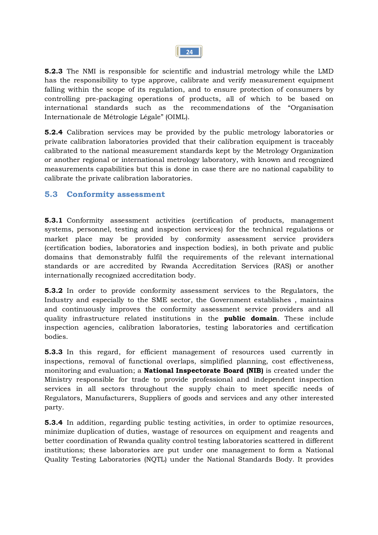

**5.2.3** The NMI is responsible for scientific and industrial metrology while the LMD has the responsibility to type approve, calibrate and verify measurement equipment falling within the scope of its regulation, and to ensure protection of consumers by controlling pre-packaging operations of products, all of which to be based on international standards such as the recommendations of the "Organisation Internationale de Métrologie Légale" (OIML).

**5.2.4** Calibration services may be provided by the public metrology laboratories or private calibration laboratories provided that their calibration equipment is traceably calibrated to the national measurement standards kept by the Metrology Organization or another regional or international metrology laboratory, with known and recognized measurements capabilities but this is done in case there are no national capability to calibrate the private calibration laboratories.

#### **5.3 Conformity assessment**

**5.3.1** Conformity assessment activities (certification of products, management systems, personnel, testing and inspection services) for the technical regulations or market place may be provided by conformity assessment service providers (certification bodies, laboratories and inspection bodies), in both private and public domains that demonstrably fulfil the requirements of the relevant international standards or are accredited by Rwanda Accreditation Services (RAS) or another internationally recognized accreditation body.

**5.3.2** In order to provide conformity assessment services to the Regulators, the Industry and especially to the SME sector, the Government establishes , maintains and continuously improves the conformity assessment service providers and all quality infrastructure related institutions in the **public domain**. These include inspection agencies, calibration laboratories, testing laboratories and certification bodies.

**5.3.3** In this regard, for efficient management of resources used currently in inspections, removal of functional overlaps, simplified planning, cost effectiveness, monitoring and evaluation; a **National Inspectorate Board (NIB)** is created under the Ministry responsible for trade to provide professional and independent inspection services in all sectors throughout the supply chain to meet specific needs of Regulators, Manufacturers, Suppliers of goods and services and any other interested party.

**5.3.4** In addition, regarding public testing activities, in order to optimize resources, minimize duplication of duties, wastage of resources on equipment and reagents and better coordination of Rwanda quality control testing laboratories scattered in different institutions; these laboratories are put under one management to form a National Quality Testing Laboratories (NQTL) under the National Standards Body. It provides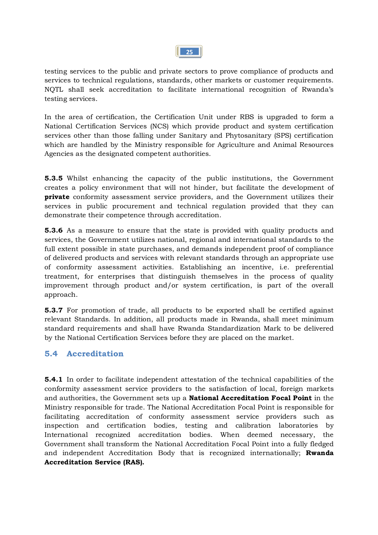

testing services to the public and private sectors to prove compliance of products and services to technical regulations, standards, other markets or customer requirements. NQTL shall seek accreditation to facilitate international recognition of Rwanda's testing services.

In the area of certification, the Certification Unit under RBS is upgraded to form a National Certification Services (NCS) which provide product and system certification services other than those falling under Sanitary and Phytosanitary (SPS) certification which are handled by the Ministry responsible for Agriculture and Animal Resources Agencies as the designated competent authorities.

**5.3.5** Whilst enhancing the capacity of the public institutions, the Government creates a policy environment that will not hinder, but facilitate the development of **private** conformity assessment service providers, and the Government utilizes their services in public procurement and technical regulation provided that they can demonstrate their competence through accreditation.

**5.3.6** As a measure to ensure that the state is provided with quality products and services, the Government utilizes national, regional and international standards to the full extent possible in state purchases, and demands independent proof of compliance of delivered products and services with relevant standards through an appropriate use of conformity assessment activities. Establishing an incentive, i.e. preferential treatment, for enterprises that distinguish themselves in the process of quality improvement through product and/or system certification, is part of the overall approach.

**5.3.7** For promotion of trade, all products to be exported shall be certified against relevant Standards. In addition, all products made in Rwanda, shall meet minimum standard requirements and shall have Rwanda Standardization Mark to be delivered by the National Certification Services before they are placed on the market.

### **5.4 Accreditation**

**5.4.1** In order to facilitate independent attestation of the technical capabilities of the conformity assessment service providers to the satisfaction of local, foreign markets and authorities, the Government sets up a **National Accreditation Focal Point** in the Ministry responsible for trade. The National Accreditation Focal Point is responsible for facilitating accreditation of conformity assessment service providers such as inspection and certification bodies, testing and calibration laboratories by International recognized accreditation bodies. When deemed necessary, the Government shall transform the National Accreditation Focal Point into a fully fledged and independent Accreditation Body that is recognized internationally; **Rwanda Accreditation Service (RAS).**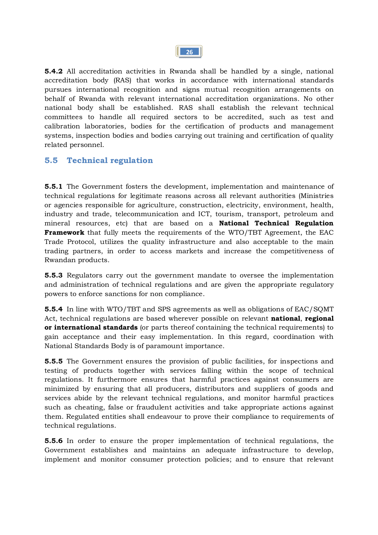

**5.4.2** All accreditation activities in Rwanda shall be handled by a single, national accreditation body (RAS) that works in accordance with international standards pursues international recognition and signs mutual recognition arrangements on behalf of Rwanda with relevant international accreditation organizations. No other national body shall be established. RAS shall establish the relevant technical committees to handle all required sectors to be accredited, such as test and calibration laboratories, bodies for the certification of products and management systems, inspection bodies and bodies carrying out training and certification of quality related personnel.

### **5.5 Technical regulation**

**5.5.1** The Government fosters the development, implementation and maintenance of technical regulations for legitimate reasons across all relevant authorities (Ministries or agencies responsible for agriculture, construction, electricity, environment, health, industry and trade, telecommunication and ICT, tourism, transport, petroleum and mineral resources, etc) that are based on a **National Technical Regulation Framework** that fully meets the requirements of the WTO/TBT Agreement, the EAC Trade Protocol, utilizes the quality infrastructure and also acceptable to the main trading partners, in order to access markets and increase the competitiveness of Rwandan products.

**5.5.3** Regulators carry out the government mandate to oversee the implementation and administration of technical regulations and are given the appropriate regulatory powers to enforce sanctions for non compliance.

**5.5.4** In line with WTO/TBT and SPS agreements as well as obligations of EAC/SQMT Act, technical regulations are based wherever possible on relevant **national**, **regional or international standards** (or parts thereof containing the technical requirements) to gain acceptance and their easy implementation. In this regard, coordination with National Standards Body is of paramount importance.

**5.5.5** The Government ensures the provision of public facilities, for inspections and testing of products together with services falling within the scope of technical regulations. It furthermore ensures that harmful practices against consumers are minimized by ensuring that all producers, distributors and suppliers of goods and services abide by the relevant technical regulations, and monitor harmful practices such as cheating, false or fraudulent activities and take appropriate actions against them. Regulated entities shall endeavour to prove their compliance to requirements of technical regulations.

**5.5.6** In order to ensure the proper implementation of technical regulations, the Government establishes and maintains an adequate infrastructure to develop, implement and monitor consumer protection policies; and to ensure that relevant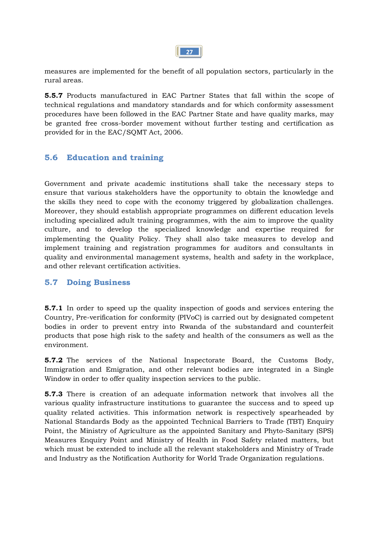

measures are implemented for the benefit of all population sectors, particularly in the rural areas.

**5.5.7** Products manufactured in EAC Partner States that fall within the scope of technical regulations and mandatory standards and for which conformity assessment procedures have been followed in the EAC Partner State and have quality marks, may be granted free cross-border movement without further testing and certification as provided for in the EAC/SQMT Act, 2006.

#### **5.6 Education and training**

Government and private academic institutions shall take the necessary steps to ensure that various stakeholders have the opportunity to obtain the knowledge and the skills they need to cope with the economy triggered by globalization challenges. Moreover, they should establish appropriate programmes on different education levels including specialized adult training programmes, with the aim to improve the quality culture, and to develop the specialized knowledge and expertise required for implementing the Quality Policy. They shall also take measures to develop and implement training and registration programmes for auditors and consultants in quality and environmental management systems, health and safety in the workplace, and other relevant certification activities.

#### **5.7 Doing Business**

**5.7.1** In order to speed up the quality inspection of goods and services entering the Country, Pre-verification for conformity (PIVoC) is carried out by designated competent bodies in order to prevent entry into Rwanda of the substandard and counterfeit products that pose high risk to the safety and health of the consumers as well as the environment.

**5.7.2** The services of the National Inspectorate Board, the Customs Body, Immigration and Emigration, and other relevant bodies are integrated in a Single Window in order to offer quality inspection services to the public.

**5.7.3** There is creation of an adequate information network that involves all the various quality infrastructure institutions to guarantee the success and to speed up quality related activities. This information network is respectively spearheaded by National Standards Body as the appointed Technical Barriers to Trade (TBT) Enquiry Point, the Ministry of Agriculture as the appointed Sanitary and Phyto-Sanitary (SPS) Measures Enquiry Point and Ministry of Health in Food Safety related matters, but which must be extended to include all the relevant stakeholders and Ministry of Trade and Industry as the Notification Authority for World Trade Organization regulations.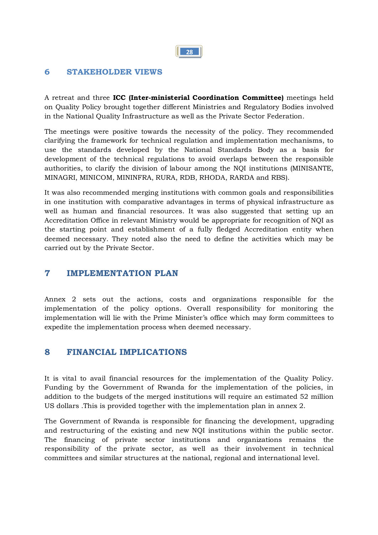#### **6 STAKEHOLDER VIEWS**

A retreat and three **ICC (Inter-ministerial Coordination Committee)** meetings held on Quality Policy brought together different Ministries and Regulatory Bodies involved in the National Quality Infrastructure as well as the Private Sector Federation.

The meetings were positive towards the necessity of the policy. They recommended clarifying the framework for technical regulation and implementation mechanisms, to use the standards developed by the National Standards Body as a basis for development of the technical regulations to avoid overlaps between the responsible authorities, to clarify the division of labour among the NQI institutions (MINISANTE, MINAGRI, MINICOM, MININFRA, RURA, RDB, RHODA, RARDA and RBS).

It was also recommended merging institutions with common goals and responsibilities in one institution with comparative advantages in terms of physical infrastructure as well as human and financial resources. It was also suggested that setting up an Accreditation Office in relevant Ministry would be appropriate for recognition of NQI as the starting point and establishment of a fully fledged Accreditation entity when deemed necessary. They noted also the need to define the activities which may be carried out by the Private Sector.

### **7 IMPLEMENTATION PLAN**

Annex 2 sets out the actions, costs and organizations responsible for the implementation of the policy options. Overall responsibility for monitoring the implementation will lie with the Prime Minister's office which may form committees to expedite the implementation process when deemed necessary.

### **8 FINANCIAL IMPLICATIONS**

It is vital to avail financial resources for the implementation of the Quality Policy. Funding by the Government of Rwanda for the implementation of the policies, in addition to the budgets of the merged institutions will require an estimated 52 million US dollars .This is provided together with the implementation plan in annex 2.

The Government of Rwanda is responsible for financing the development, upgrading and restructuring of the existing and new NQI institutions within the public sector. The financing of private sector institutions and organizations remains the responsibility of the private sector, as well as their involvement in technical committees and similar structures at the national, regional and international level.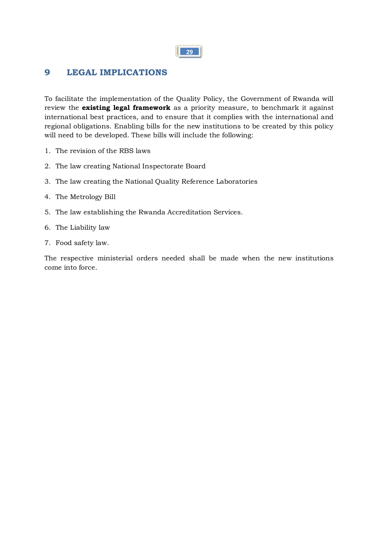## **9 LEGAL IMPLICATIONS**

To facilitate the implementation of the Quality Policy, the Government of Rwanda will review the **existing legal framework** as a priority measure, to benchmark it against international best practices, and to ensure that it complies with the international and regional obligations. Enabling bills for the new institutions to be created by this policy will need to be developed. These bills will include the following:

- 1. The revision of the RBS laws
- 2. The law creating National Inspectorate Board
- 3. The law creating the National Quality Reference Laboratories
- 4. The Metrology Bill
- 5. The law establishing the Rwanda Accreditation Services.
- 6. The Liability law
- 7. Food safety law.

The respective ministerial orders needed shall be made when the new institutions come into force.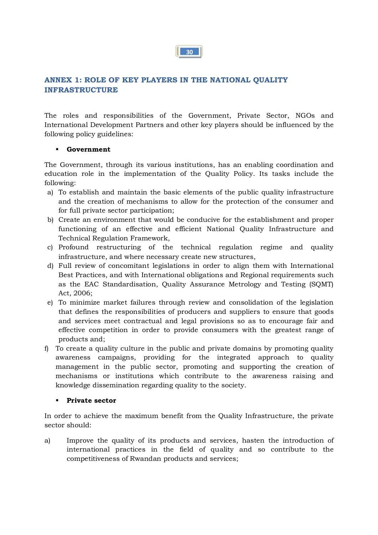#### **ANNEX 1: ROLE OF KEY PLAYERS IN THE NATIONAL QUALITY INFRASTRUCTURE**

The roles and responsibilities of the Government, Private Sector, NGOs and International Development Partners and other key players should be influenced by the following policy guidelines:

#### ß **Government**

The Government, through its various institutions, has an enabling coordination and education role in the implementation of the Quality Policy. Its tasks include the following:

- a) To establish and maintain the basic elements of the public quality infrastructure and the creation of mechanisms to allow for the protection of the consumer and for full private sector participation;
- b) Create an environment that would be conducive for the establishment and proper functioning of an effective and efficient National Quality Infrastructure and Technical Regulation Framework,
- c) Profound restructuring of the technical regulation regime and quality infrastructure, and where necessary create new structures,
- d) Full review of concomitant legislations in order to align them with International Best Practices, and with International obligations and Regional requirements such as the EAC Standardisation, Quality Assurance Metrology and Testing (SQMT) Act, 2006;
- e) To minimize market failures through review and consolidation of the legislation that defines the responsibilities of producers and suppliers to ensure that goods and services meet contractual and legal provisions so as to encourage fair and effective competition in order to provide consumers with the greatest range of products and;
- f) To create a quality culture in the public and private domains by promoting quality awareness campaigns, providing for the integrated approach to quality management in the public sector, promoting and supporting the creation of mechanisms or institutions which contribute to the awareness raising and knowledge dissemination regarding quality to the society.

#### ß **Private sector**

In order to achieve the maximum benefit from the Quality Infrastructure, the private sector should:

a) Improve the quality of its products and services, hasten the introduction of international practices in the field of quality and so contribute to the competitiveness of Rwandan products and services;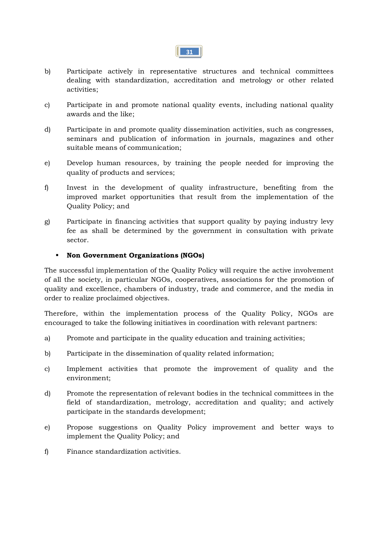

- b) Participate actively in representative structures and technical committees dealing with standardization, accreditation and metrology or other related activities;
- c) Participate in and promote national quality events, including national quality awards and the like;
- d) Participate in and promote quality dissemination activities, such as congresses, seminars and publication of information in journals, magazines and other suitable means of communication;
- e) Develop human resources, by training the people needed for improving the quality of products and services;
- f) Invest in the development of quality infrastructure, benefiting from the improved market opportunities that result from the implementation of the Quality Policy; and
- g) Participate in financing activities that support quality by paying industry levy fee as shall be determined by the government in consultation with private sector.

#### ß **Non Government Organizations (NGOs)**

The successful implementation of the Quality Policy will require the active involvement of all the society, in particular NGOs, cooperatives, associations for the promotion of quality and excellence, chambers of industry, trade and commerce, and the media in order to realize proclaimed objectives.

Therefore, within the implementation process of the Quality Policy, NGOs are encouraged to take the following initiatives in coordination with relevant partners:

- a) Promote and participate in the quality education and training activities;
- b) Participate in the dissemination of quality related information;
- c) Implement activities that promote the improvement of quality and the environment;
- d) Promote the representation of relevant bodies in the technical committees in the field of standardization, metrology, accreditation and quality; and actively participate in the standards development;
- e) Propose suggestions on Quality Policy improvement and better ways to implement the Quality Policy; and
- f) Finance standardization activities.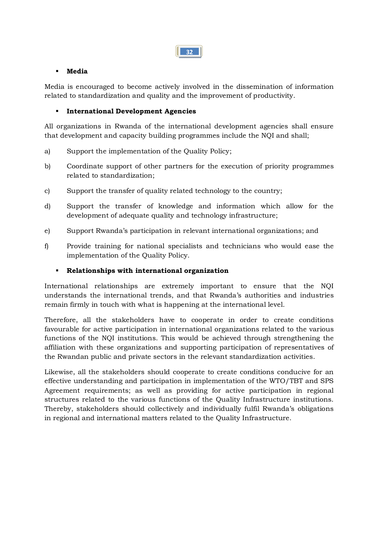

#### ß **Media**

Media is encouraged to become actively involved in the dissemination of information related to standardization and quality and the improvement of productivity.

#### **International Development Agencies**

All organizations in Rwanda of the international development agencies shall ensure that development and capacity building programmes include the NQI and shall;

- a) Support the implementation of the Quality Policy;
- b) Coordinate support of other partners for the execution of priority programmes related to standardization;
- c) Support the transfer of quality related technology to the country;
- d) Support the transfer of knowledge and information which allow for the development of adequate quality and technology infrastructure;
- e) Support Rwanda's participation in relevant international organizations; and
- f) Provide training for national specialists and technicians who would ease the implementation of the Quality Policy.

#### ß **Relationships with international organization**

International relationships are extremely important to ensure that the NQI understands the international trends, and that Rwanda's authorities and industries remain firmly in touch with what is happening at the international level.

Therefore, all the stakeholders have to cooperate in order to create conditions favourable for active participation in international organizations related to the various functions of the NQI institutions. This would be achieved through strengthening the affiliation with these organizations and supporting participation of representatives of the Rwandan public and private sectors in the relevant standardization activities.

Likewise, all the stakeholders should cooperate to create conditions conducive for an effective understanding and participation in implementation of the WTO/TBT and SPS Agreement requirements; as well as providing for active participation in regional structures related to the various functions of the Quality Infrastructure institutions. Thereby, stakeholders should collectively and individually fulfil Rwanda's obligations in regional and international matters related to the Quality Infrastructure.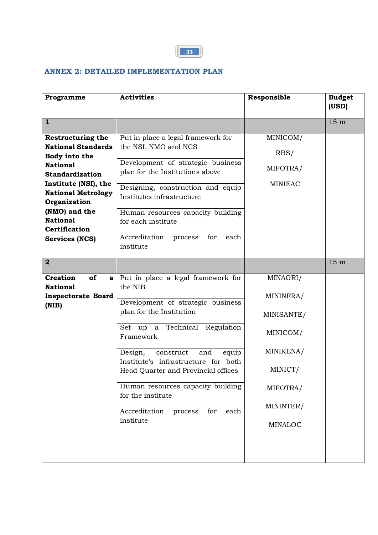

## **ANNEX 2: DETAILED IMPLEMENTATION PLAN**

| Programme                                                                                                                                                                                                                                                                     | <b>Activities</b>                                                                                                                                                                                                                                                                                                                                                                                       | Responsible                                                                                                        | <b>Budget</b><br>(USD) |
|-------------------------------------------------------------------------------------------------------------------------------------------------------------------------------------------------------------------------------------------------------------------------------|---------------------------------------------------------------------------------------------------------------------------------------------------------------------------------------------------------------------------------------------------------------------------------------------------------------------------------------------------------------------------------------------------------|--------------------------------------------------------------------------------------------------------------------|------------------------|
| $\mathbf{1}$                                                                                                                                                                                                                                                                  |                                                                                                                                                                                                                                                                                                                                                                                                         |                                                                                                                    | 15 <sub>m</sub>        |
| <b>Restructuring the</b><br><b>National Standards</b><br>Body into the<br><b>National</b><br><b>Standardization</b><br>Institute (NSI), the<br><b>National Metrology</b><br>Organization<br>(NMO) and the<br><b>National</b><br><b>Certification</b><br><b>Services (NCS)</b> | Put in place a legal framework for<br>the NSI, NMO and NCS<br>Development of strategic business<br>plan for the Institutions above<br>Designing, construction and equip<br>Institutes infrastructure<br>Human resources capacity building<br>for each institute<br>Accreditation<br>for<br>each<br>process<br>institute                                                                                 | MINICOM/<br>RBS/<br>MIFOTRA/<br><b>MINIEAC</b>                                                                     |                        |
| $\overline{\mathbf{2}}$                                                                                                                                                                                                                                                       |                                                                                                                                                                                                                                                                                                                                                                                                         |                                                                                                                    | 15 <sub>m</sub>        |
| <b>Creation</b><br>of<br>$\mathbf{a}$<br><b>National</b><br><b>Inspectorate Board</b><br>(NIB)                                                                                                                                                                                | Put in place a legal framework for<br>the NIB<br>Development of strategic business<br>plan for the Institution<br>Technical Regulation<br>Set up a<br>Framework<br>construct<br>Design,<br>and<br>equip<br>Institute's infrastructure for both<br>Head Quarter and Provincial offices<br>Human resources capacity building<br>for the institute<br>Accreditation<br>for<br>process<br>each<br>institute | MINAGRI/<br>MININFRA/<br>MINISANTE/<br>MINICOM/<br>MINIRENA/<br>MINICT/<br>MIFOTRA/<br>MININTER/<br><b>MINALOC</b> |                        |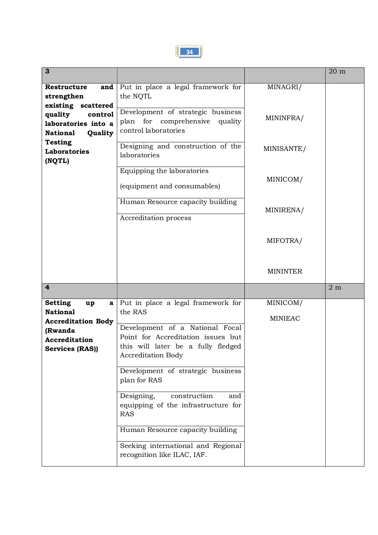

| 3                                                                                                                                          |                                                                                                                                                                                                                                                                                                                                                                                                                                                   |                            | 20 m           |
|--------------------------------------------------------------------------------------------------------------------------------------------|---------------------------------------------------------------------------------------------------------------------------------------------------------------------------------------------------------------------------------------------------------------------------------------------------------------------------------------------------------------------------------------------------------------------------------------------------|----------------------------|----------------|
| Restructure<br>and<br>strengthen<br>existing scattered                                                                                     | Put in place a legal framework for<br>the NQTL                                                                                                                                                                                                                                                                                                                                                                                                    | MINAGRI/                   |                |
| quality<br>control<br>laboratories into a<br><b>National</b><br>Quality                                                                    | Development of strategic business<br>plan for comprehensive quality<br>control laboratories                                                                                                                                                                                                                                                                                                                                                       | MININFRA/                  |                |
| <b>Testing</b><br><b>Laboratories</b><br>(NQTL)                                                                                            | Designing and construction of the<br>laboratories                                                                                                                                                                                                                                                                                                                                                                                                 | MINISANTE/                 |                |
|                                                                                                                                            | Equipping the laboratories<br>(equipment and consumables)                                                                                                                                                                                                                                                                                                                                                                                         | MINICOM/                   |                |
|                                                                                                                                            | Human Resource capacity building<br>Accreditation process                                                                                                                                                                                                                                                                                                                                                                                         | MINIRENA/                  |                |
|                                                                                                                                            |                                                                                                                                                                                                                                                                                                                                                                                                                                                   | MIFOTRA/                   |                |
|                                                                                                                                            |                                                                                                                                                                                                                                                                                                                                                                                                                                                   | <b>MININTER</b>            |                |
| 4                                                                                                                                          |                                                                                                                                                                                                                                                                                                                                                                                                                                                   |                            | 2 <sub>m</sub> |
| <b>Setting</b><br>up<br>$\mathbf{a}$<br><b>National</b><br><b>Accreditation Body</b><br>(Rwanda<br><b>Accreditation</b><br>Services (RAS)) | Put in place a legal framework for<br>the RAS<br>Development of a National Focal<br>Point for Accreditation issues but<br>this will later be a fully fledged<br><b>Accreditation Body</b><br>Development of strategic business<br>plan for RAS<br>Designing,<br>construction<br>and<br>equipping of the infrastructure for<br><b>RAS</b><br>Human Resource capacity building<br>Seeking international and Regional<br>recognition like ILAC, IAF. | MINICOM/<br><b>MINIEAC</b> |                |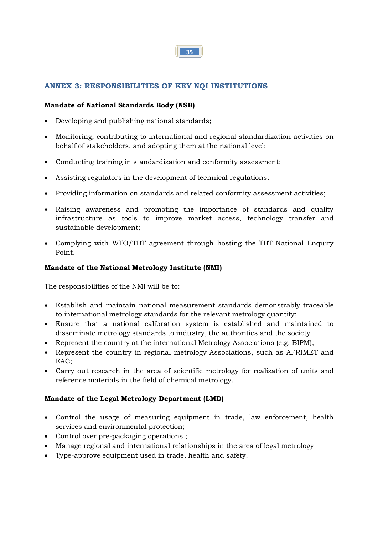

#### **ANNEX 3: RESPONSIBILITIES OF KEY NQI INSTITUTIONS**

#### **Mandate of National Standards Body (NSB)**

- Developing and publishing national standards;
- · Monitoring, contributing to international and regional standardization activities on behalf of stakeholders, and adopting them at the national level;
- · Conducting training in standardization and conformity assessment;
- · Assisting regulators in the development of technical regulations;
- · Providing information on standards and related conformity assessment activities;
- · Raising awareness and promoting the importance of standards and quality infrastructure as tools to improve market access, technology transfer and sustainable development;
- · Complying with WTO/TBT agreement through hosting the TBT National Enquiry Point.

#### **Mandate of the National Metrology Institute (NMI)**

The responsibilities of the NMI will be to:

- · Establish and maintain national measurement standards demonstrably traceable to international metrology standards for the relevant metrology quantity;
- · Ensure that a national calibration system is established and maintained to disseminate metrology standards to industry, the authorities and the society
- · Represent the country at the international Metrology Associations (e.g. BIPM);
- · Represent the country in regional metrology Associations, such as AFRIMET and EAC;
- · Carry out research in the area of scientific metrology for realization of units and reference materials in the field of chemical metrology.

#### **Mandate of the Legal Metrology Department (LMD)**

- · Control the usage of measuring equipment in trade, law enforcement, health services and environmental protection;
- · Control over pre-packaging operations ;
- · Manage regional and international relationships in the area of legal metrology
- · Type-approve equipment used in trade, health and safety.